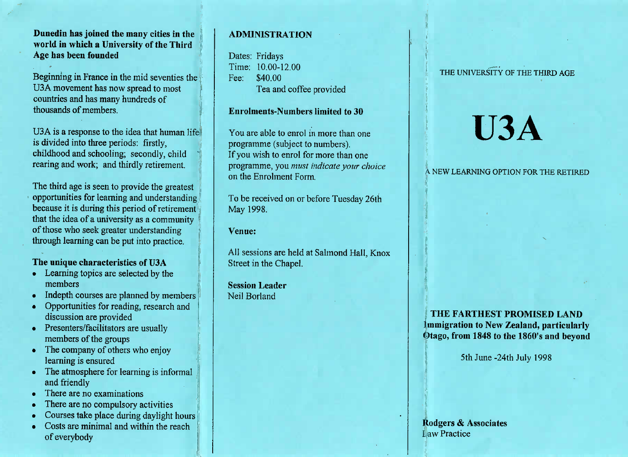## **Dunedin has joined the many cities in the world in which a University of the ThirdAge has been founded**

Beginning in France in the mid seventies theUSA movement has now spread to mostcountries and has many hundreds ofthousands of members.

U3A is a response to the idea that human lifeis divided into three periods: firstly, childhood and schooling; secondly, childrearing and work; and thirdly retirement.

The third age is seen to provide the greatest opportunities for learning and understanding because it is during this period of retirement that the idea of a university as a communityof those who seek greater understandingthrough learning can be put into practice.

# **The unique characteristics of U3A**

- Learning topics are selected by themembers
- Indepth courses are planned by members
- Opportunities for reading, research anddiscussion are provided
- Presenters/facilitators are usually members of the groups
- Ine company of others who enjoy learning is ensured
- The atmosphere for learning is informaland friendly
- There are no examinations
- $\frac{1}{2}$  here are no compulsory activities
- $\sim$  Courses take place during daylight hours
- Costs are minimal and within the reach of everybody

# **ADMINISTRATION**

Dates: Fridays Time: 10.00-12.00Fee: \$40.00Tea and coffee provided

## **Enrolments-Numbers limited to 30**

You are able to enrol in more than oneprogramme (subject to numbers). If you wish to enrol for more than one programme, you *must indicate your choice*on the Enrolment Form.

To be received on or before Tuesday 26thMay 1998.

**Venue:**

All sessions are held at Salmond Hall, KnoxStreet in the Chapel.

**Session Leader**Neil Borland

## THE UNIVERSITY OF THE THIRD AGE

# **U3A**

### A NEW LEARNING OPTION FOR THE RETIRED

# **THE FARTHEST PROMISED LAND Immigration to New Zealand, particularlyOtago, from 1848 to the 1860's and beyond**

5th June-24th July 1998

**Rodgers & Associates**I,aw Practice